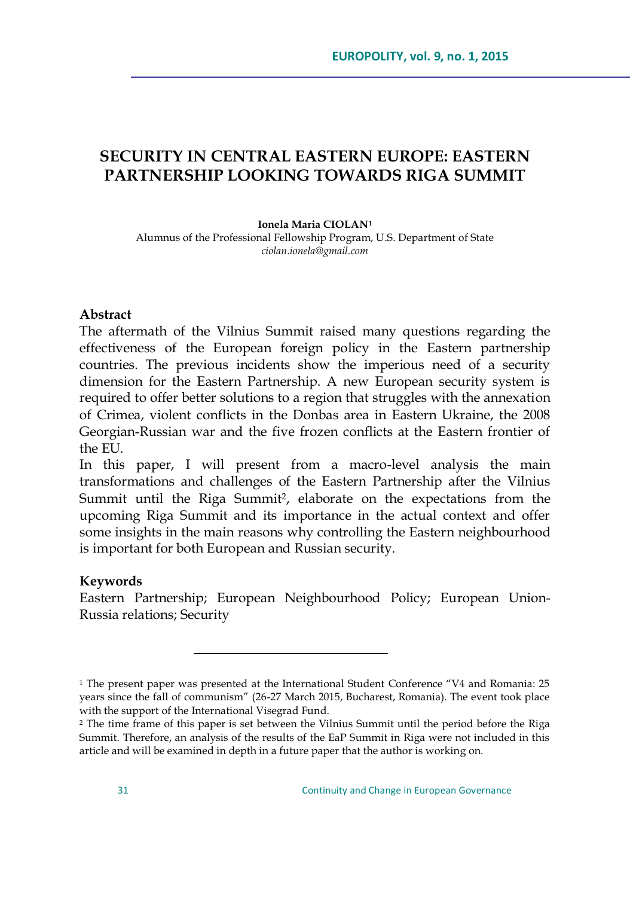# **SECURITY IN CENTRAL EASTERN EUROPE: EASTERN PARTNERSHIP LOOKING TOWARDS RIGA SUMMIT**

#### **Ionela Maria CIOLAN<sup>1</sup>**

Alumnus of the Professional Fellowship Program, U.S. Department of State *ciolan.ionela@gmail.com*

#### **Abstract**

The aftermath of the Vilnius Summit raised many questions regarding the effectiveness of the European foreign policy in the Eastern partnership countries. The previous incidents show the imperious need of a security dimension for the Eastern Partnership. A new European security system is required to offer better solutions to a region that struggles with the annexation of Crimea, violent conflicts in the Donbas area in Eastern Ukraine, the 2008 Georgian-Russian war and the five frozen conflicts at the Eastern frontier of the EU.

In this paper, I will present from a macro-level analysis the main transformations and challenges of the Eastern Partnership after the Vilnius Summit until the Riga Summit<sup>2</sup>, elaborate on the expectations from the upcoming Riga Summit and its importance in the actual context and offer some insights in the main reasons why controlling the Eastern neighbourhood is important for both European and Russian security.

#### **Keywords**

 $\overline{a}$ 

Eastern Partnership; European Neighbourhood Policy; European Union-Russia relations; Security

 $1$  The present paper was presented at the International Student Conference  $4V4$  and Romania: 25 years since the fall of communism" (26-27 March 2015, Bucharest, Romania). The event took place with the support of the International Visegrad Fund.

<sup>2</sup> The time frame of this paper is set between the Vilnius Summit until the period before the Riga Summit. Therefore, an analysis of the results of the EaP Summit in Riga were not included in this article and will be examined in depth in a future paper that the author is working on.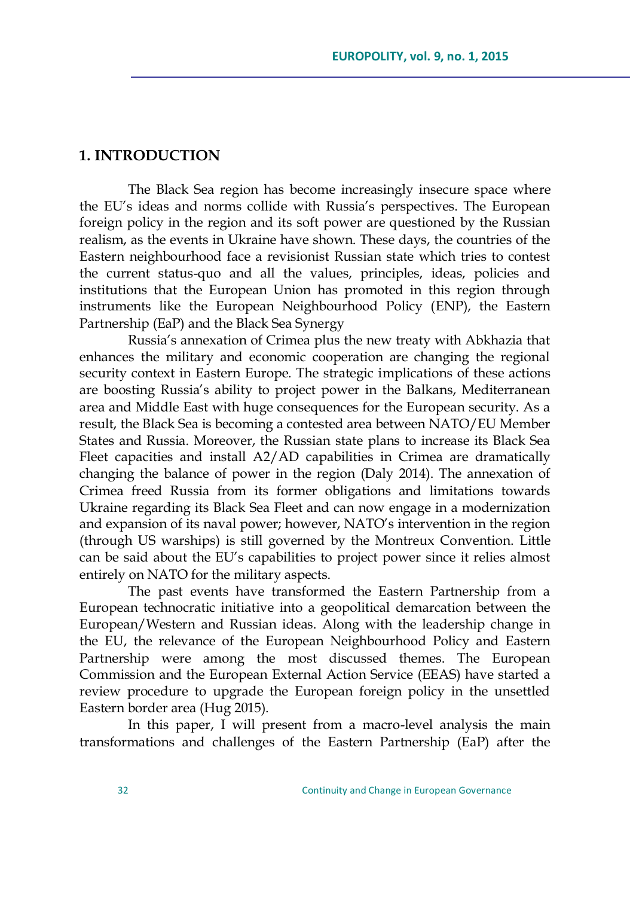## **1. INTRODUCTION**

The Black Sea region has become increasingly insecure space where the EU's ideas and norms collide with Russia's perspectives. The European foreign policy in the region and its soft power are questioned by the Russian realism, as the events in Ukraine have shown. These days, the countries of the Eastern neighbourhood face a revisionist Russian state which tries to contest the current status-quo and all the values, principles, ideas, policies and institutions that the European Union has promoted in this region through instruments like the European Neighbourhood Policy (ENP), the Eastern Partnership (EaP) and the Black Sea Synergy

Russia's annexation of Crimea plus the new treaty with Abkhazia that enhances the military and economic cooperation are changing the regional security context in Eastern Europe. The strategic implications of these actions are boosting Russia's ability to project power in the Balkans, Mediterranean area and Middle East with huge consequences for the European security. As a result, the Black Sea is becoming a contested area between NATO/EU Member States and Russia. Moreover, the Russian state plans to increase its Black Sea Fleet capacities and install A2/AD capabilities in Crimea are dramatically changing the balance of power in the region (Daly 2014). The annexation of Crimea freed Russia from its former obligations and limitations towards Ukraine regarding its Black Sea Fleet and can now engage in a modernization and expansion of its naval power; however, NATO's intervention in the region (through US warships) is still governed by the Montreux Convention. Little can be said about the EU's capabilities to project power since it relies almost entirely on NATO for the military aspects.

The past events have transformed the Eastern Partnership from a European technocratic initiative into a geopolitical demarcation between the European/Western and Russian ideas. Along with the leadership change in the EU, the relevance of the European Neighbourhood Policy and Eastern Partnership were among the most discussed themes. The European Commission and the European External Action Service (EEAS) have started a review procedure to upgrade the European foreign policy in the unsettled Eastern border area (Hug 2015).

In this paper, I will present from a macro-level analysis the main transformations and challenges of the Eastern Partnership (EaP) after the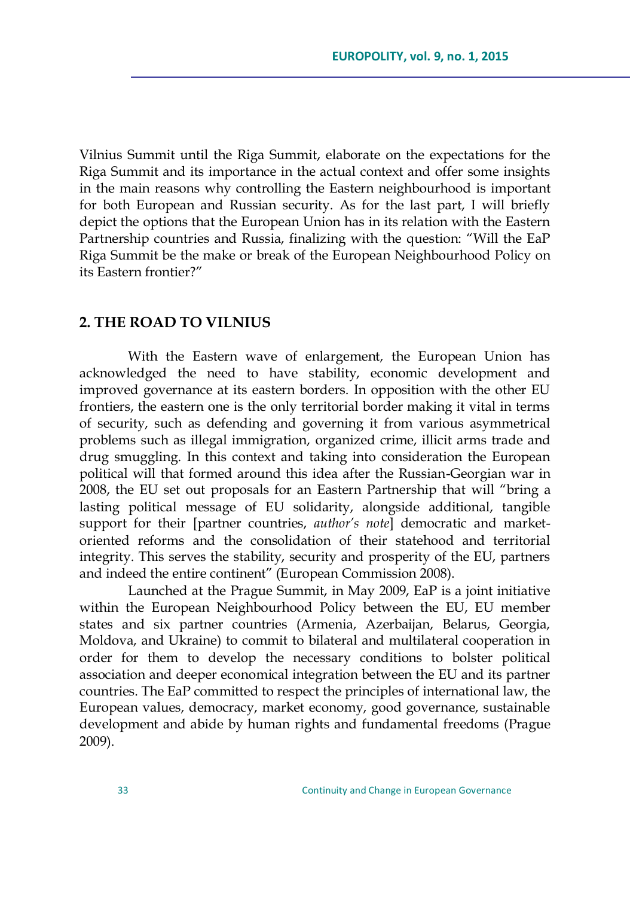Vilnius Summit until the Riga Summit, elaborate on the expectations for the Riga Summit and its importance in the actual context and offer some insights in the main reasons why controlling the Eastern neighbourhood is important for both European and Russian security. As for the last part, I will briefly depict the options that the European Union has in its relation with the Eastern Partnership countries and Russia, finalizing with the question: "Will the EaP Riga Summit be the make or break of the European Neighbourhood Policy on its Eastern frontier?"

#### **2. THE ROAD TO VILNIUS**

With the Eastern wave of enlargement, the European Union has acknowledged the need to have stability, economic development and improved governance at its eastern borders. In opposition with the other EU frontiers, the eastern one is the only territorial border making it vital in terms of security, such as defending and governing it from various asymmetrical problems such as illegal immigration, organized crime, illicit arms trade and drug smuggling. In this context and taking into consideration the European political will that formed around this idea after the Russian-Georgian war in 2008, the EU set out proposals for an Eastern Partnership that will "bring a lasting political message of EU solidarity, alongside additional, tangible support for their [partner countries, *author's note*] democratic and marketoriented reforms and the consolidation of their statehood and territorial integrity. This serves the stability, security and prosperity of the EU, partners and indeed the entire continent" (European Commission 2008).

Launched at the Prague Summit, in May 2009, EaP is a joint initiative within the European Neighbourhood Policy between the EU, EU member states and six partner countries (Armenia, Azerbaijan, Belarus, Georgia, Moldova, and Ukraine) to commit to bilateral and multilateral cooperation in order for them to develop the necessary conditions to bolster political association and deeper economical integration between the EU and its partner countries. The EaP committed to respect the principles of international law, the European values, democracy, market economy, good governance, sustainable development and abide by human rights and fundamental freedoms (Prague 2009).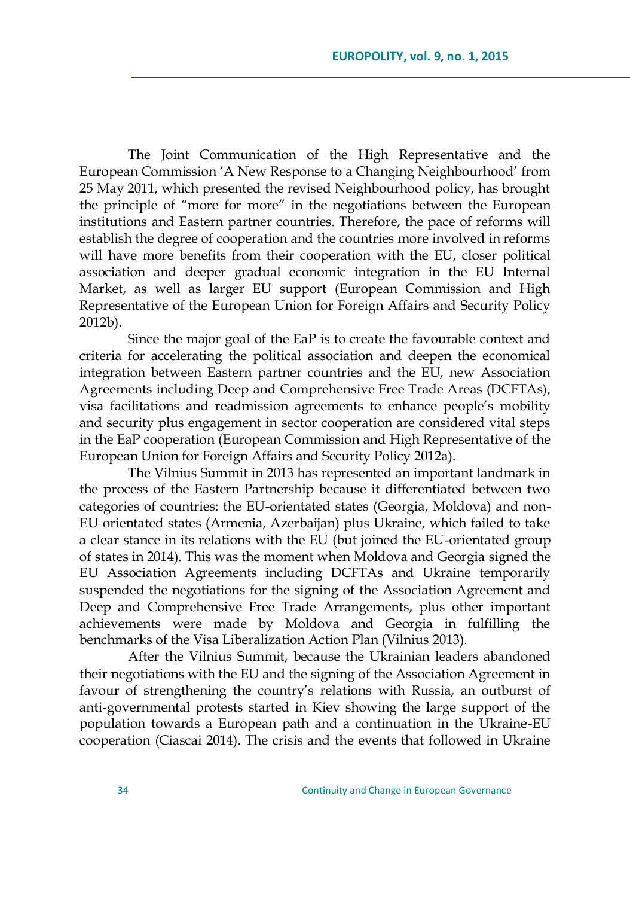The Joint Communication of the High Representative and the European Commission ‗A New Response to a Changing Neighbourhood' from 25 May 2011, which presented the revised Neighbourhood policy, has brought the principle of "more for more" in the negotiations between the European institutions and Eastern partner countries. Therefore, the pace of reforms will establish the degree of cooperation and the countries more involved in reforms will have more benefits from their cooperation with the EU, closer political association and deeper gradual economic integration in the EU Internal Market, as well as larger EU support (European Commission and High Representative of the European Union for Foreign Affairs and Security Policy 2012b).

Since the major goal of the EaP is to create the favourable context and criteria for accelerating the political association and deepen the economical integration between Eastern partner countries and the EU, new Association Agreements including Deep and Comprehensive Free Trade Areas (DCFTAs), visa facilitations and readmission agreements to enhance people's mobility and security plus engagement in sector cooperation are considered vital steps in the EaP cooperation (European Commission and High Representative of the European Union for Foreign Affairs and Security Policy 2012a).

The Vilnius Summit in 2013 has represented an important landmark in the process of the Eastern Partnership because it differentiated between two categories of countries: the EU-orientated states (Georgia, Moldova) and non-EU orientated states (Armenia, Azerbaijan) plus Ukraine, which failed to take a clear stance in its relations with the EU (but joined the EU-orientated group of states in 2014). This was the moment when Moldova and Georgia signed the EU Association Agreements including DCFTAs and Ukraine temporarily suspended the negotiations for the signing of the Association Agreement and Deep and Comprehensive Free Trade Arrangements, plus other important achievements were made by Moldova and Georgia in fulfilling the benchmarks of the Visa Liberalization Action Plan (Vilnius 2013).

After the Vilnius Summit, because the Ukrainian leaders abandoned their negotiations with the EU and the signing of the Association Agreement in favour of strengthening the country's relations with Russia, an outburst of anti-governmental protests started in Kiev showing the large support of the population towards a European path and a continuation in the Ukraine-EU cooperation (Ciascai 2014). The crisis and the events that followed in Ukraine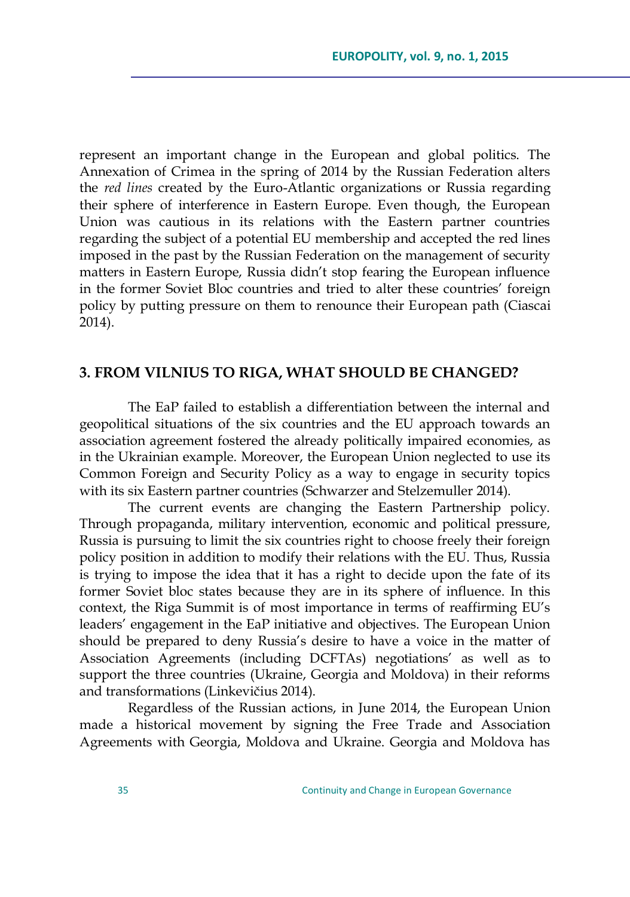represent an important change in the European and global politics. The Annexation of Crimea in the spring of 2014 by the Russian Federation alters the *red lines* created by the Euro-Atlantic organizations or Russia regarding their sphere of interference in Eastern Europe. Even though, the European Union was cautious in its relations with the Eastern partner countries regarding the subject of a potential EU membership and accepted the red lines imposed in the past by the Russian Federation on the management of security matters in Eastern Europe, Russia didn't stop fearing the European influence in the former Soviet Bloc countries and tried to alter these countries' foreign policy by putting pressure on them to renounce their European path (Ciascai 2014).

## **3. FROM VILNIUS TO RIGA, WHAT SHOULD BE CHANGED?**

The EaP failed to establish a differentiation between the internal and geopolitical situations of the six countries and the EU approach towards an association agreement fostered the already politically impaired economies, as in the Ukrainian example. Moreover, the European Union neglected to use its Common Foreign and Security Policy as a way to engage in security topics with its six Eastern partner countries (Schwarzer and Stelzemuller 2014).

The current events are changing the Eastern Partnership policy. Through propaganda, military intervention, economic and political pressure, Russia is pursuing to limit the six countries right to choose freely their foreign policy position in addition to modify their relations with the EU. Thus, Russia is trying to impose the idea that it has a right to decide upon the fate of its former Soviet bloc states because they are in its sphere of influence. In this context, the Riga Summit is of most importance in terms of reaffirming EU's leaders' engagement in the EaP initiative and objectives. The European Union should be prepared to deny Russia's desire to have a voice in the matter of Association Agreements (including DCFTAs) negotiations' as well as to support the three countries (Ukraine, Georgia and Moldova) in their reforms and transformations (Linkevičius 2014).

Regardless of the Russian actions, in June 2014, the European Union made a historical movement by signing the Free Trade and Association Agreements with Georgia, Moldova and Ukraine. Georgia and Moldova has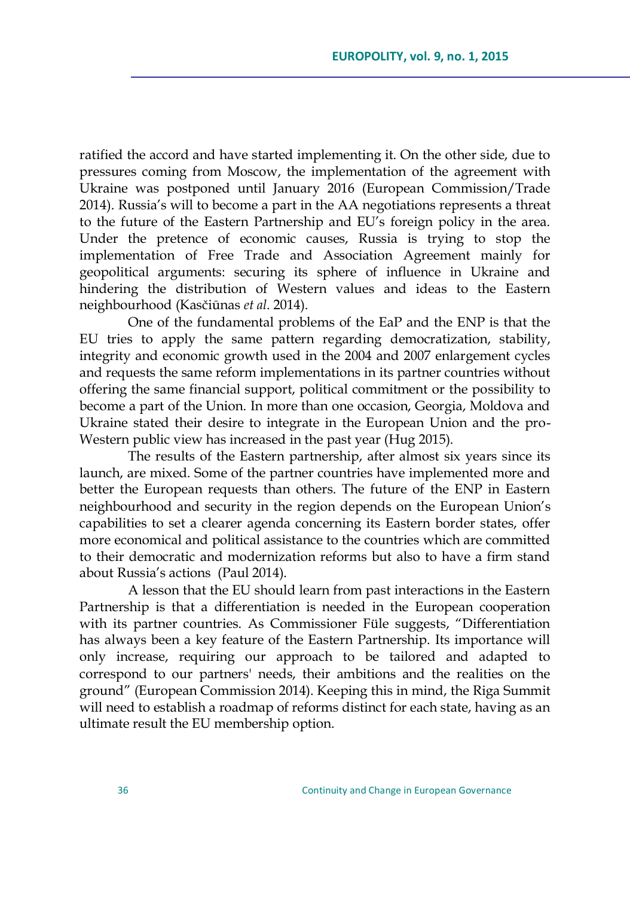ratified the accord and have started implementing it. On the other side, due to pressures coming from Moscow, the implementation of the agreement with Ukraine was postponed until January 2016 (European Commission/Trade 2014). Russia's will to become a part in the AA negotiations represents a threat to the future of the Eastern Partnership and EU's foreign policy in the area. Under the pretence of economic causes, Russia is trying to stop the implementation of Free Trade and Association Agreement mainly for geopolitical arguments: securing its sphere of influence in Ukraine and hindering the distribution of Western values and ideas to the Eastern neighbourhood (Kasčiūnas *et al*. 2014).

One of the fundamental problems of the EaP and the ENP is that the EU tries to apply the same pattern regarding democratization, stability, integrity and economic growth used in the 2004 and 2007 enlargement cycles and requests the same reform implementations in its partner countries without offering the same financial support, political commitment or the possibility to become a part of the Union. In more than one occasion, Georgia, Moldova and Ukraine stated their desire to integrate in the European Union and the pro-Western public view has increased in the past year (Hug 2015).

The results of the Eastern partnership, after almost six years since its launch, are mixed. Some of the partner countries have implemented more and better the European requests than others. The future of the ENP in Eastern neighbourhood and security in the region depends on the European Union's capabilities to set a clearer agenda concerning its Eastern border states, offer more economical and political assistance to the countries which are committed to their democratic and modernization reforms but also to have a firm stand about Russia's actions (Paul 2014).

A lesson that the EU should learn from past interactions in the Eastern Partnership is that a differentiation is needed in the European cooperation with its partner countries. As Commissioner Füle suggests, "Differentiation has always been a key feature of the Eastern Partnership. Its importance will only increase, requiring our approach to be tailored and adapted to correspond to our partners' needs, their ambitions and the realities on the ground‖ (European Commission 2014). Keeping this in mind, the Riga Summit will need to establish a roadmap of reforms distinct for each state, having as an ultimate result the EU membership option.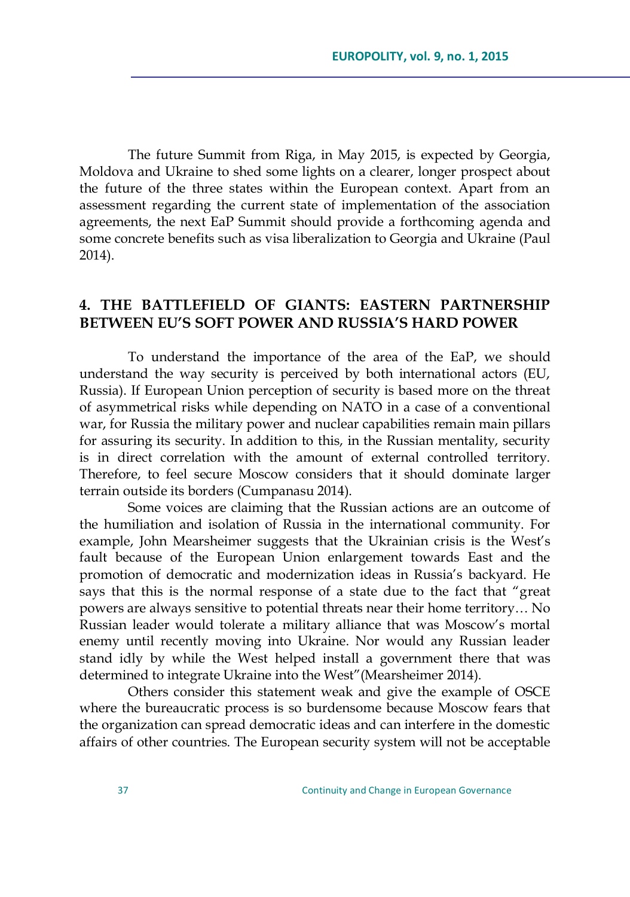The future Summit from Riga, in May 2015, is expected by Georgia, Moldova and Ukraine to shed some lights on a clearer, longer prospect about the future of the three states within the European context. Apart from an assessment regarding the current state of implementation of the association agreements, the next EaP Summit should provide a forthcoming agenda and some concrete benefits such as visa liberalization to Georgia and Ukraine (Paul 2014).

## **4. THE BATTLEFIELD OF GIANTS: EASTERN PARTNERSHIP BETWEEN EU'S SOFT POWER AND RUSSIA'S HARD POWER**

To understand the importance of the area of the EaP, we should understand the way security is perceived by both international actors (EU, Russia). If European Union perception of security is based more on the threat of asymmetrical risks while depending on NATO in a case of a conventional war, for Russia the military power and nuclear capabilities remain main pillars for assuring its security. In addition to this, in the Russian mentality, security is in direct correlation with the amount of external controlled territory. Therefore, to feel secure Moscow considers that it should dominate larger terrain outside its borders (Cumpanasu 2014).

Some voices are claiming that the Russian actions are an outcome of the humiliation and isolation of Russia in the international community. For example, John Mearsheimer suggests that the Ukrainian crisis is the West's fault because of the European Union enlargement towards East and the promotion of democratic and modernization ideas in Russia's backyard. He says that this is the normal response of a state due to the fact that "great powers are always sensitive to potential threats near their home territory… No Russian leader would tolerate a military alliance that was Moscow's mortal enemy until recently moving into Ukraine. Nor would any Russian leader stand idly by while the West helped install a government there that was determined to integrate Ukraine into the West" (Mearsheimer 2014).

Others consider this statement weak and give the example of OSCE where the bureaucratic process is so burdensome because Moscow fears that the organization can spread democratic ideas and can interfere in the domestic affairs of other countries. The European security system will not be acceptable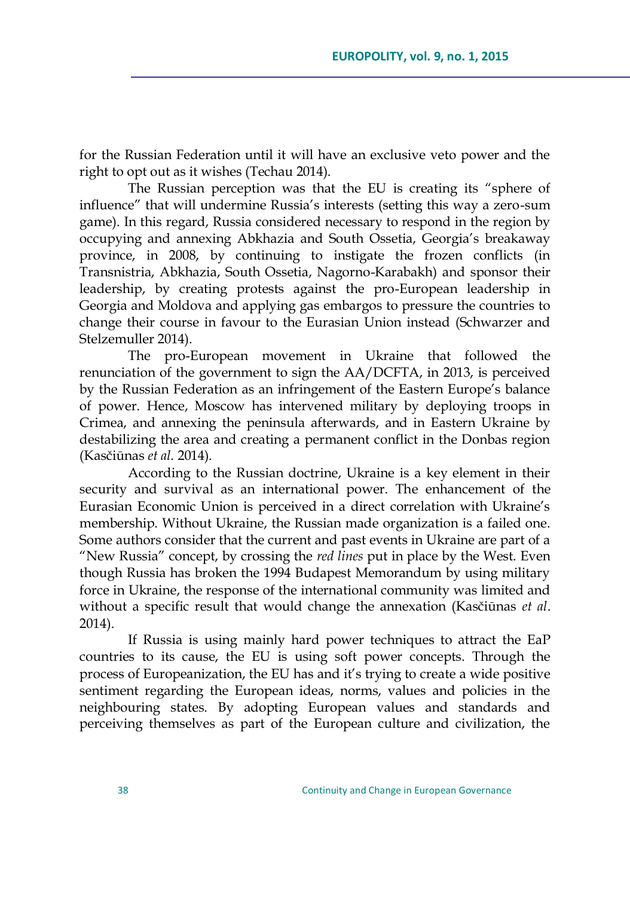for the Russian Federation until it will have an exclusive veto power and the right to opt out as it wishes (Techau 2014).

The Russian perception was that the EU is creating its "sphere of influence‖ that will undermine Russia's interests (setting this way a zero-sum game). In this regard, Russia considered necessary to respond in the region by occupying and annexing Abkhazia and South Ossetia, Georgia's breakaway province, in 2008, by continuing to instigate the frozen conflicts (in Transnistria, Abkhazia, South Ossetia, Nagorno-Karabakh) and sponsor their leadership, by creating protests against the pro-European leadership in Georgia and Moldova and applying gas embargos to pressure the countries to change their course in favour to the Eurasian Union instead (Schwarzer and Stelzemuller 2014).

The pro-European movement in Ukraine that followed the renunciation of the government to sign the AA/DCFTA, in 2013, is perceived by the Russian Federation as an infringement of the Eastern Europe's balance of power. Hence, Moscow has intervened military by deploying troops in Crimea, and annexing the peninsula afterwards, and in Eastern Ukraine by destabilizing the area and creating a permanent conflict in the Donbas region (Kasčiūnas *et al*. 2014).

According to the Russian doctrine, Ukraine is a key element in their security and survival as an international power. The enhancement of the Eurasian Economic Union is perceived in a direct correlation with Ukraine's membership. Without Ukraine, the Russian made organization is a failed one. Some authors consider that the current and past events in Ukraine are part of a ―New Russia‖ concept, by crossing the *red lines* put in place by the West. Even though Russia has broken the 1994 Budapest Memorandum by using military force in Ukraine, the response of the international community was limited and without a specific result that would change the annexation (Kasčiūnas *et al*. 2014).

If Russia is using mainly hard power techniques to attract the EaP countries to its cause, the EU is using soft power concepts. Through the process of Europeanization, the EU has and it's trying to create a wide positive sentiment regarding the European ideas, norms, values and policies in the neighbouring states. By adopting European values and standards and perceiving themselves as part of the European culture and civilization, the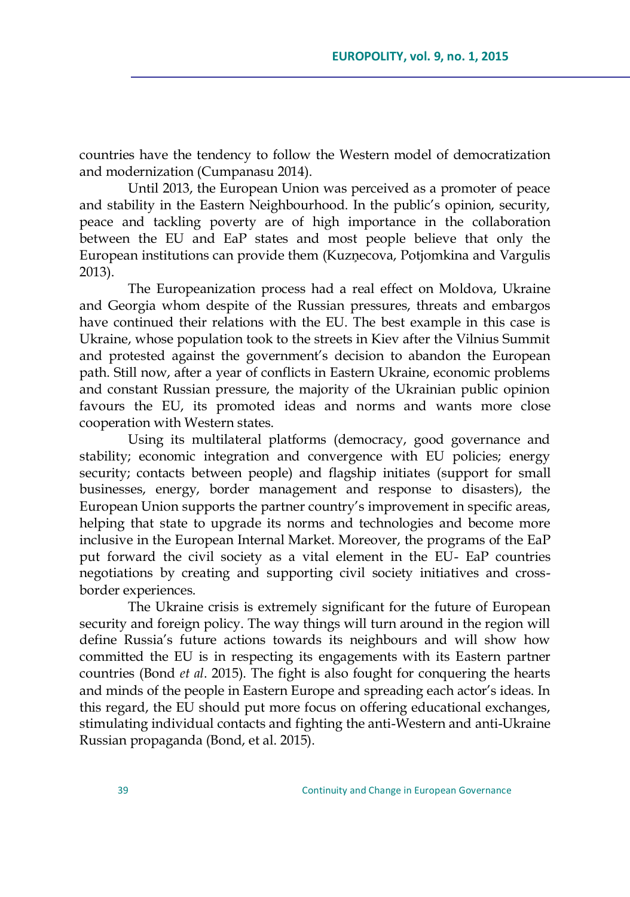countries have the tendency to follow the Western model of democratization and modernization (Cumpanasu 2014).

Until 2013, the European Union was perceived as a promoter of peace and stability in the Eastern Neighbourhood. In the public's opinion, security, peace and tackling poverty are of high importance in the collaboration between the EU and EaP states and most people believe that only the European institutions can provide them (Kuzņecova, Potjomkina and Vargulis 2013).

The Europeanization process had a real effect on Moldova, Ukraine and Georgia whom despite of the Russian pressures, threats and embargos have continued their relations with the EU. The best example in this case is Ukraine, whose population took to the streets in Kiev after the Vilnius Summit and protested against the government's decision to abandon the European path. Still now, after a year of conflicts in Eastern Ukraine, economic problems and constant Russian pressure, the majority of the Ukrainian public opinion favours the EU, its promoted ideas and norms and wants more close cooperation with Western states.

Using its multilateral platforms (democracy, good governance and stability; economic integration and convergence with EU policies; energy security; contacts between people) and flagship initiates (support for small businesses, energy, border management and response to disasters), the European Union supports the partner country's improvement in specific areas, helping that state to upgrade its norms and technologies and become more inclusive in the European Internal Market. Moreover, the programs of the EaP put forward the civil society as a vital element in the EU- EaP countries negotiations by creating and supporting civil society initiatives and crossborder experiences.

The Ukraine crisis is extremely significant for the future of European security and foreign policy. The way things will turn around in the region will define Russia's future actions towards its neighbours and will show how committed the EU is in respecting its engagements with its Eastern partner countries (Bond *et al*. 2015). The fight is also fought for conquering the hearts and minds of the people in Eastern Europe and spreading each actor's ideas. In this regard, the EU should put more focus on offering educational exchanges, stimulating individual contacts and fighting the anti-Western and anti-Ukraine Russian propaganda (Bond, et al. 2015).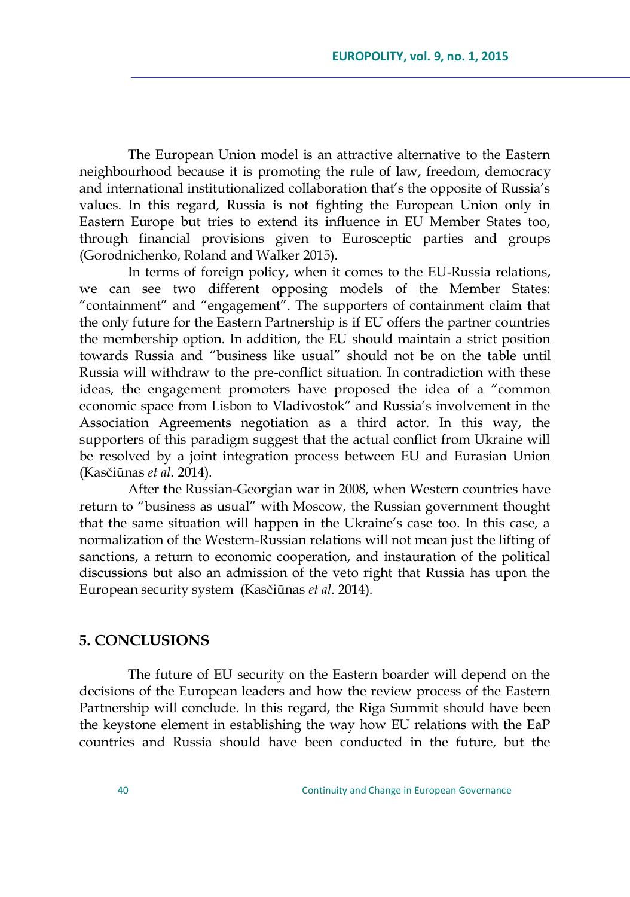The European Union model is an attractive alternative to the Eastern neighbourhood because it is promoting the rule of law, freedom, democracy and international institutionalized collaboration that's the opposite of Russia's values. In this regard, Russia is not fighting the European Union only in Eastern Europe but tries to extend its influence in EU Member States too, through financial provisions given to Eurosceptic parties and groups (Gorodnichenko, Roland and Walker 2015).

In terms of foreign policy, when it comes to the EU-Russia relations, we can see two different opposing models of the Member States: "containment" and "engagement". The supporters of containment claim that the only future for the Eastern Partnership is if EU offers the partner countries the membership option. In addition, the EU should maintain a strict position towards Russia and "business like usual" should not be on the table until Russia will withdraw to the pre-conflict situation. In contradiction with these ideas, the engagement promoters have proposed the idea of a "common economic space from Lisbon to Vladivostok" and Russia's involvement in the Association Agreements negotiation as a third actor. In this way, the supporters of this paradigm suggest that the actual conflict from Ukraine will be resolved by a joint integration process between EU and Eurasian Union (Kasčiūnas *et al*. 2014).

After the Russian-Georgian war in 2008, when Western countries have return to "business as usual" with Moscow, the Russian government thought that the same situation will happen in the Ukraine's case too. In this case, a normalization of the Western-Russian relations will not mean just the lifting of sanctions, a return to economic cooperation, and instauration of the political discussions but also an admission of the veto right that Russia has upon the European security system (Kasčiūnas *et al*. 2014).

## **5. CONCLUSIONS**

The future of EU security on the Eastern boarder will depend on the decisions of the European leaders and how the review process of the Eastern Partnership will conclude. In this regard, the Riga Summit should have been the keystone element in establishing the way how EU relations with the EaP countries and Russia should have been conducted in the future, but the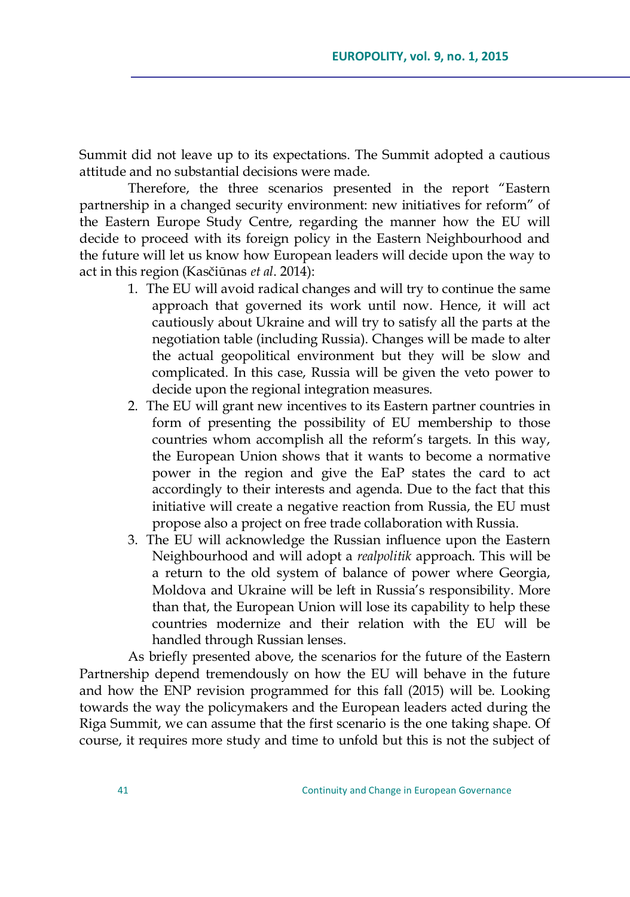Summit did not leave up to its expectations. The Summit adopted a cautious attitude and no substantial decisions were made.

Therefore, the three scenarios presented in the report "Eastern partnership in a changed security environment: new initiatives for reform" of the Eastern Europe Study Centre, regarding the manner how the EU will decide to proceed with its foreign policy in the Eastern Neighbourhood and the future will let us know how European leaders will decide upon the way to act in this region (Kasčiūnas *et al*. 2014):

- 1. The EU will avoid radical changes and will try to continue the same approach that governed its work until now. Hence, it will act cautiously about Ukraine and will try to satisfy all the parts at the negotiation table (including Russia). Changes will be made to alter the actual geopolitical environment but they will be slow and complicated. In this case, Russia will be given the veto power to decide upon the regional integration measures.
- 2. The EU will grant new incentives to its Eastern partner countries in form of presenting the possibility of EU membership to those countries whom accomplish all the reform's targets. In this way, the European Union shows that it wants to become a normative power in the region and give the EaP states the card to act accordingly to their interests and agenda. Due to the fact that this initiative will create a negative reaction from Russia, the EU must propose also a project on free trade collaboration with Russia.
- 3. The EU will acknowledge the Russian influence upon the Eastern Neighbourhood and will adopt a *realpolitik* approach. This will be a return to the old system of balance of power where Georgia, Moldova and Ukraine will be left in Russia's responsibility. More than that, the European Union will lose its capability to help these countries modernize and their relation with the EU will be handled through Russian lenses.

As briefly presented above, the scenarios for the future of the Eastern Partnership depend tremendously on how the EU will behave in the future and how the ENP revision programmed for this fall (2015) will be. Looking towards the way the policymakers and the European leaders acted during the Riga Summit, we can assume that the first scenario is the one taking shape. Of course, it requires more study and time to unfold but this is not the subject of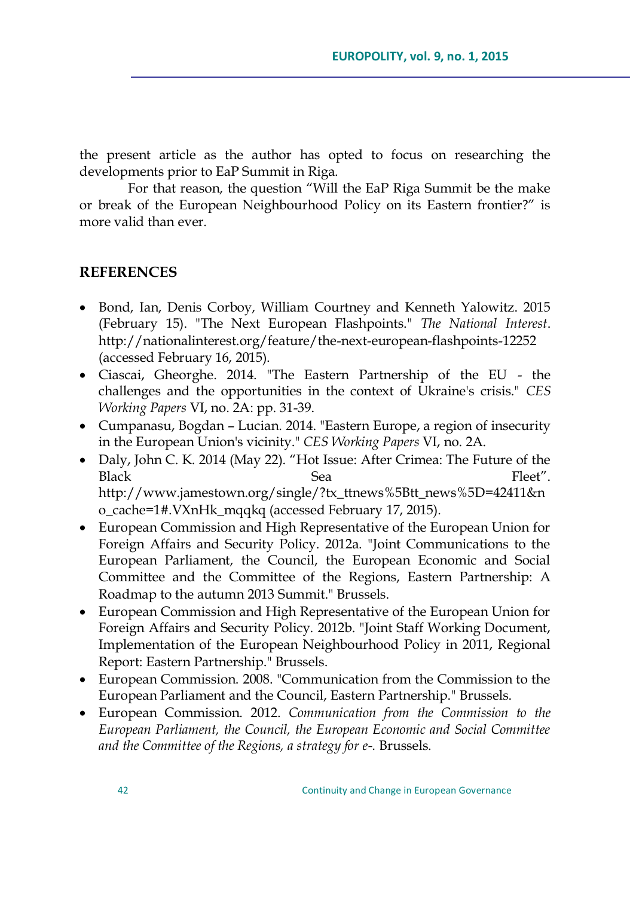the present article as the author has opted to focus on researching the developments prior to EaP Summit in Riga.

For that reason, the question "Will the EaP Riga Summit be the make or break of the European Neighbourhood Policy on its Eastern frontier?" is more valid than ever.

### **REFERENCES**

- Bond, Ian, Denis Corboy, William Courtney and Kenneth Yalowitz. 2015 (February 15). "The Next European Flashpoints." *The National Interest*. http://nationalinterest.org/feature/the-next-european-flashpoints-12252 (accessed February 16, 2015).
- Ciascai, Gheorghe. 2014. "The Eastern Partnership of the EU the challenges and the opportunities in the context of Ukraine's crisis." *CES Working Papers* VI, no. 2A: pp. 31-39.
- Cumpanasu, Bogdan Lucian. 2014. "Eastern Europe, a region of insecurity in the European Union's vicinity." *CES Working Papers* VI, no. 2A.
- Daly, John C. K. 2014 (May 22). "Hot Issue: After Crimea: The Future of the Black Sea Sea Fleet". http://www.jamestown.org/single/?tx\_ttnews%5Btt\_news%5D=42411&n o\_cache=1#.VXnHk\_mqqkq (accessed February 17, 2015).
- European Commission and High Representative of the European Union for Foreign Affairs and Security Policy. 2012a. "Joint Communications to the European Parliament, the Council, the European Economic and Social Committee and the Committee of the Regions, Eastern Partnership: A Roadmap to the autumn 2013 Summit." Brussels.
- European Commission and High Representative of the European Union for Foreign Affairs and Security Policy. 2012b. "Joint Staff Working Document, Implementation of the European Neighbourhood Policy in 2011, Regional Report: Eastern Partnership." Brussels.
- European Commission. 2008. "Communication from the Commission to the European Parliament and the Council, Eastern Partnership." Brussels.
- European Commission. 2012. *Communication from the Commission to the European Parliament, the Council, the European Economic and Social Committee and the Committee of the Regions, a strategy for e-.* Brussels.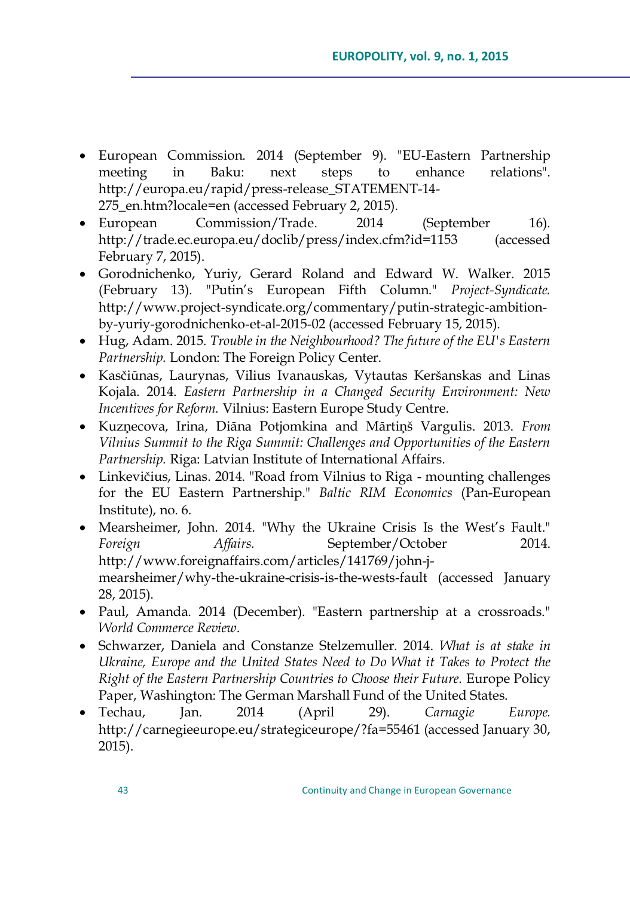- European Commission. 2014 (September 9). "EU-Eastern Partnership meeting in Baku: next steps to enhance relations". http://europa.eu/rapid/press-release\_STATEMENT-14- 275\_en.htm?locale=en (accessed February 2, 2015).
- European Commission/Trade. 2014 (September 16). http://trade.ec.europa.eu/doclib/press/index.cfm?id=1153 (accessed February 7, 2015).
- Gorodnichenko, Yuriy, Gerard Roland and Edward W. Walker. 2015 (February 13). "Putin's European Fifth Column." *Project-Syndicate.* http://www.project-syndicate.org/commentary/putin-strategic-ambitionby-yuriy-gorodnichenko-et-al-2015-02 (accessed February 15, 2015).
- Hug, Adam. 2015. *Trouble in the Neighbourhood? The future of the EU's Eastern Partnership.* London: The Foreign Policy Center.
- Kasčiūnas, Laurynas, Vilius Ivanauskas, Vytautas Keršanskas and Linas Kojala. 2014. *Eastern Partnership in a Changed Security Environment: New Incentives for Reform.* Vilnius: Eastern Europe Study Centre.
- Kuzņecova, Irina, Diāna Potjomkina and Mārtiņń Vargulis. 2013. *From Vilnius Summit to the Riga Summit: Challenges and Opportunities of the Eastern Partnership.* Riga: Latvian Institute of International Affairs.
- Linkevičius, Linas. 2014. "Road from Vilnius to Riga mounting challenges for the EU Eastern Partnership." *Baltic RIM Economics* (Pan-European Institute), no. 6.
- Mearsheimer, John. 2014. "Why the Ukraine Crisis Is the West's Fault." *Foreign Affairs.* September/October 2014. http://www.foreignaffairs.com/articles/141769/john-jmearsheimer/why-the-ukraine-crisis-is-the-wests-fault (accessed January 28, 2015).
- Paul, Amanda. 2014 (December). "Eastern partnership at a crossroads." *World Commerce Review*.
- Schwarzer, Daniela and Constanze Stelzemuller. 2014. *What is at stake in Ukraine, Europe and the United States Need to Do What it Takes to Protect the Right of the Eastern Partnership Countries to Choose their Future.* Europe Policy Paper, Washington: The German Marshall Fund of the United States.
- Techau, Jan. 2014 (April 29). *Carnagie Europe.* http://carnegieeurope.eu/strategiceurope/?fa=55461 (accessed January 30, 2015).